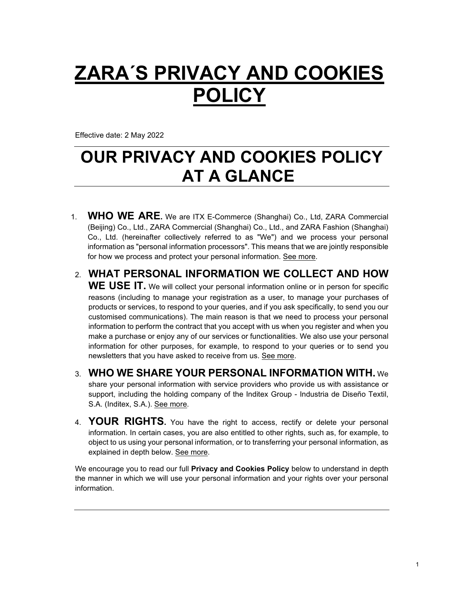# **ZARA´S PRIVACY AND COOKIES POLICY**

Effective date: 2 May 2022

## **OUR PRIVACY AND COOKIES POLICY AT A GLANCE**

- 1. **WHO WE ARE.** We are ITX E-Commerce (Shanghai) Co., Ltd, ZARA Commercial (Beijing) Co., Ltd., ZARA Commercial (Shanghai) Co., Ltd., and ZARA Fashion (Shanghai) Co., Ltd. (hereinafter collectively referred to as "We") and we process your personal information as "personal information processors". This means that we are jointly responsible for how we process and protect your personal information. [See more.](#page-1-0)
- 2. **WHAT PERSONAL INFORMATION WE COLLECT AND HOW**

WE USE IT. We will collect your personal information online or in person for specific reasons (including to manage your registration as a user, to manage your purchases of products or services, to respond to your queries, and if you ask specifically, to send you our customised communications). The main reason is that we need to process your personal information to perform the contract that you accept with us when you register and when you make a purchase or enjoy any of our services or functionalities. We also use your personal information for other purposes, for example, to respond to your queries or to send you newsletters that you have asked to receive from us. [See more.](#page-2-0)

- 3. **WHO WE SHARE YOUR PERSONAL INFORMATION WITH.** We share your personal information with service providers who provide us with assistance or support, including the holding company of the Inditex Group - Industria de Diseño Textil, S.A. (Inditex, S.A.). [See more.](#page-11-0)
- 4. **YOUR RIGHTS.** You have the right to access, rectify or delete your personal information. In certain cases, you are also entitled to other rights, such as, for example, to object to us using your personal information, or to transferring your personal information, as explained in depth below. [See more.](#page-14-0)

We encourage you to read our full **Privacy and Cookies Policy** below to understand in depth the manner in which we will use your personal information and your rights over your personal information.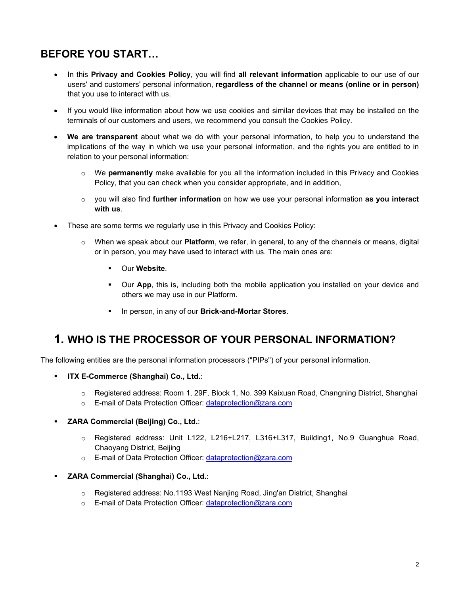## **BEFORE YOU START…**

- In this **Privacy and Cookies Policy**, you will find **all relevant information** applicable to our use of our users' and customers' personal information, **regardless of the channel or means (online or in person)**  that you use to interact with us.
- If you would like information about how we use cookies and similar devices that may be installed on the terminals of our customers and users, we recommend you consult the Cookies Policy.
- **We are transparent** about what we do with your personal information, to help you to understand the implications of the way in which we use your personal information, and the rights you are entitled to in relation to your personal information:
	- o We **permanently** make available for you all the information included in this Privacy and Cookies Policy, that you can check when you consider appropriate, and in addition,
	- o you will also find **further information** on how we use your personal information **as you interact with us**.
- These are some terms we regularly use in this Privacy and Cookies Policy:
	- o When we speak about our **Platform**, we refer, in general, to any of the channels or means, digital or in person, you may have used to interact with us. The main ones are:
		- Our **Website**.
		- Our **App**, this is, including both the mobile application you installed on your device and others we may use in our Platform.
		- In person, in any of our **Brick-and-Mortar Stores**.

## <span id="page-1-0"></span>**1. WHO IS THE PROCESSOR OF YOUR PERSONAL INFORMATION?**

The following entities are the personal information processors ("PIPs") of your personal information.

- **ITX E-Commerce (Shanghai) Co., Ltd.**:
	- o Registered address: Room 1, 29F, Block 1, No. 399 Kaixuan Road, Changning District, Shanghai
	- o E-mail of Data Protection Officer: dataprotection@zara.com

#### **ZARA Commercial (Beijing) Co., Ltd.**:

- o Registered address: Unit L122, L216+L217, L316+L317, Building1, No.9 Guanghua Road, Chaoyang District, Beijing
- o E-mail of Data Protection Officer: [dataprotection@zara.com](mailto:dataprotection@zara.com)

#### **ZARA Commercial (Shanghai) Co., Ltd.**:

- o Registered address: No.1193 West Nanjing Road, Jing'an District, Shanghai
- o E-mail of Data Protection Officer: dataprotection@zara.com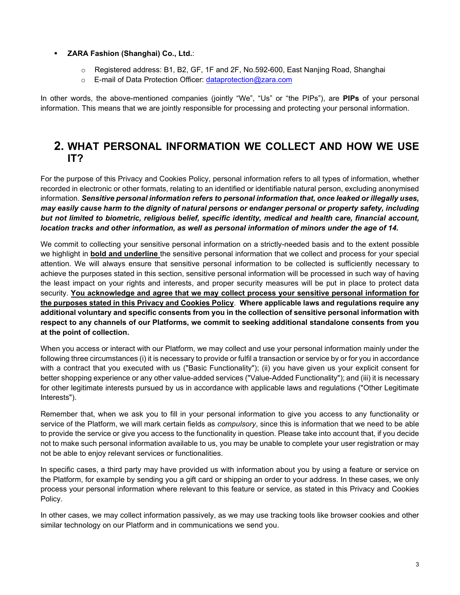#### **ZARA Fashion (Shanghai) Co., Ltd.**:

- o Registered address: B1, B2, GF, 1F and 2F, No.592-600, East Nanjing Road, Shanghai
- o E-mail of Data Protection Officer: [dataprotection@zara.com](mailto:dataprotection@inditex.com)

In other words, the above-mentioned companies (jointly "We", "Us" or "the PIPs"), are **PIPs** of your personal information. This means that we are jointly responsible for processing and protecting your personal information.

### <span id="page-2-0"></span>**2. WHAT PERSONAL INFORMATION WE COLLECT AND HOW WE USE IT?**

For the purpose of this Privacy and Cookies Policy, personal information refers to all types of information, whether recorded in electronic or other formats, relating to an identified or identifiable natural person, excluding anonymised information. *Sensitive personal information refers to personal information that, once leaked or illegally uses, may easily cause harm to the dignity of natural persons or endanger personal or property safety, including but not limited to biometric, religious belief, specific identity, medical and health care, financial account, location tracks and other information, as well as personal information of minors under the age of 14.*

We commit to collecting your sensitive personal information on a strictly-needed basis and to the extent possible we highlight in **bold and underline** the sensitive personal information that we collect and process for your special attention. We will always ensure that sensitive personal information to be collected is sufficiently necessary to achieve the purposes stated in this section, sensitive personal information will be processed in such way of having the least impact on your rights and interests, and proper security measures will be put in place to protect data security. **You acknowledge and agree that we may collect process your sensitive personal information for the purposes stated in this Privacy and Cookies Policy**. **Where applicable laws and regulations require any additional voluntary and specific consents from you in the collection of sensitive personal information with respect to any channels of our Platforms, we commit to seeking additional standalone consents from you at the point of collection.**

When you access or interact with our Platform, we may collect and use your personal information mainly under the following three circumstances (i) it is necessary to provide or fulfil a transaction or service by or for you in accordance with a contract that you executed with us ("Basic Functionality"); (ii) you have given us your explicit consent for better shopping experience or any other value-added services ("Value-Added Functionality"); and (iii) it is necessary for other legitimate interests pursued by us in accordance with applicable laws and regulations ("Other Legitimate Interests").

Remember that, when we ask you to fill in your personal information to give you access to any functionality or service of the Platform, we will mark certain fields as *compulsory*, since this is information that we need to be able to provide the service or give you access to the functionality in question. Please take into account that, if you decide not to make such personal information available to us, you may be unable to complete your user registration or may not be able to enjoy relevant services or functionalities.

In specific cases, a third party may have provided us with information about you by using a feature or service on the Platform, for example by sending you a gift card or shipping an order to your address. In these cases, we only process your personal information where relevant to this feature or service, as stated in this Privacy and Cookies Policy.

In other cases, we may collect information passively, as we may use tracking tools like browser cookies and other similar technology on our Platform and in communications we send you.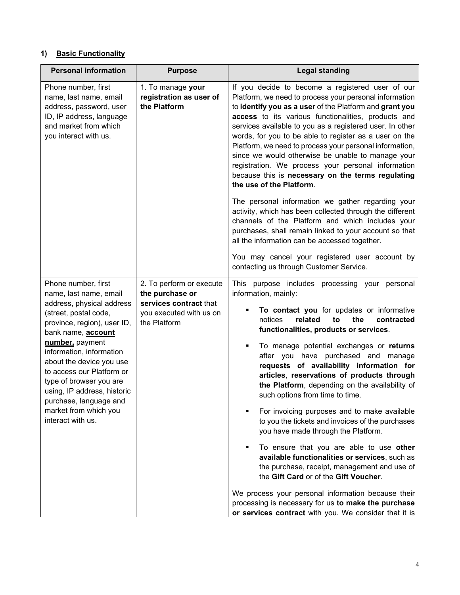#### **1) Basic Functionality**

| <b>Personal information</b>                                                                                                                                                                                                                                                                                                                                                                               | <b>Purpose</b>                                                                                                   | <b>Legal standing</b>                                                                                                                                                                                                                                                                                                                                                                                                                                                                                                                                                                                                                                                                                                                                                                                                   |
|-----------------------------------------------------------------------------------------------------------------------------------------------------------------------------------------------------------------------------------------------------------------------------------------------------------------------------------------------------------------------------------------------------------|------------------------------------------------------------------------------------------------------------------|-------------------------------------------------------------------------------------------------------------------------------------------------------------------------------------------------------------------------------------------------------------------------------------------------------------------------------------------------------------------------------------------------------------------------------------------------------------------------------------------------------------------------------------------------------------------------------------------------------------------------------------------------------------------------------------------------------------------------------------------------------------------------------------------------------------------------|
| Phone number, first<br>1. To manage your<br>registration as user of<br>name, last name, email<br>the Platform<br>address, password, user<br>ID, IP address, language<br>and market from which<br>you interact with us.                                                                                                                                                                                    |                                                                                                                  | If you decide to become a registered user of our<br>Platform, we need to process your personal information<br>to identify you as a user of the Platform and grant you<br>access to its various functionalities, products and<br>services available to you as a registered user. In other<br>words, for you to be able to register as a user on the<br>Platform, we need to process your personal information,<br>since we would otherwise be unable to manage your<br>registration. We process your personal information<br>because this is necessary on the terms regulating<br>the use of the Platform.                                                                                                                                                                                                               |
|                                                                                                                                                                                                                                                                                                                                                                                                           |                                                                                                                  | The personal information we gather regarding your<br>activity, which has been collected through the different<br>channels of the Platform and which includes your<br>purchases, shall remain linked to your account so that<br>all the information can be accessed together.                                                                                                                                                                                                                                                                                                                                                                                                                                                                                                                                            |
|                                                                                                                                                                                                                                                                                                                                                                                                           |                                                                                                                  | You may cancel your registered user account by<br>contacting us through Customer Service.                                                                                                                                                                                                                                                                                                                                                                                                                                                                                                                                                                                                                                                                                                                               |
| Phone number, first<br>name, last name, email<br>address, physical address<br>(street, postal code,<br>province, region), user ID,<br>bank name, <b>account</b><br>number, payment<br>information, information<br>about the device you use<br>to access our Platform or<br>type of browser you are<br>using, IP address, historic<br>purchase, language and<br>market from which you<br>interact with us. | 2. To perform or execute<br>the purchase or<br>services contract that<br>you executed with us on<br>the Platform | This purpose includes processing your personal<br>information, mainly:<br>To contact you for updates or informative<br>notices<br>related<br>contracted<br>the<br>to<br>functionalities, products or services.<br>To manage potential exchanges or returns<br>٠<br>after you have purchased and manage<br>requests of availability information for<br>articles, reservations of products through<br>the Platform, depending on the availability of<br>such options from time to time.<br>For invoicing purposes and to make available<br>to you the tickets and invoices of the purchases<br>you have made through the Platform.<br>To ensure that you are able to use other<br>available functionalities or services, such as<br>the purchase, receipt, management and use of<br>the Gift Card or of the Gift Voucher. |
|                                                                                                                                                                                                                                                                                                                                                                                                           |                                                                                                                  | We process your personal information because their<br>processing is necessary for us to make the purchase<br>or services contract with you. We consider that it is                                                                                                                                                                                                                                                                                                                                                                                                                                                                                                                                                                                                                                                      |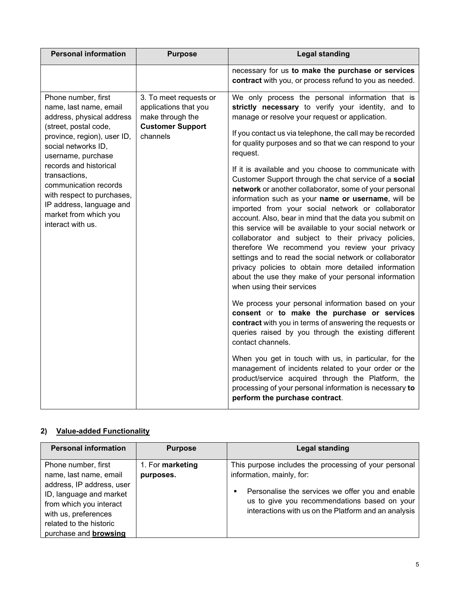| <b>Personal information</b>                                                                                                                                                                                                                                                                                                                                 | <b>Purpose</b>                                                                                             | <b>Legal standing</b>                                                                                                                                                                                                                                                                                                                                                                                                                                                                                                                                                                                                                                                                                                                                                                                                                                                                                                                                                                                                                                                                                                                                                                                                                                                                                                                                                                                                                                                                                                                        |
|-------------------------------------------------------------------------------------------------------------------------------------------------------------------------------------------------------------------------------------------------------------------------------------------------------------------------------------------------------------|------------------------------------------------------------------------------------------------------------|----------------------------------------------------------------------------------------------------------------------------------------------------------------------------------------------------------------------------------------------------------------------------------------------------------------------------------------------------------------------------------------------------------------------------------------------------------------------------------------------------------------------------------------------------------------------------------------------------------------------------------------------------------------------------------------------------------------------------------------------------------------------------------------------------------------------------------------------------------------------------------------------------------------------------------------------------------------------------------------------------------------------------------------------------------------------------------------------------------------------------------------------------------------------------------------------------------------------------------------------------------------------------------------------------------------------------------------------------------------------------------------------------------------------------------------------------------------------------------------------------------------------------------------------|
|                                                                                                                                                                                                                                                                                                                                                             |                                                                                                            | necessary for us to make the purchase or services<br>contract with you, or process refund to you as needed.                                                                                                                                                                                                                                                                                                                                                                                                                                                                                                                                                                                                                                                                                                                                                                                                                                                                                                                                                                                                                                                                                                                                                                                                                                                                                                                                                                                                                                  |
| Phone number, first<br>name, last name, email<br>address, physical address<br>(street, postal code,<br>province, region), user ID,<br>social networks ID,<br>username, purchase<br>records and historical<br>transactions,<br>communication records<br>with respect to purchases,<br>IP address, language and<br>market from which you<br>interact with us. | 3. To meet requests or<br>applications that you<br>make through the<br><b>Customer Support</b><br>channels | We only process the personal information that is<br>strictly necessary to verify your identity, and to<br>manage or resolve your request or application.<br>If you contact us via telephone, the call may be recorded<br>for quality purposes and so that we can respond to your<br>request.<br>If it is available and you choose to communicate with<br>Customer Support through the chat service of a social<br>network or another collaborator, some of your personal<br>information such as your name or username, will be<br>imported from your social network or collaborator<br>account. Also, bear in mind that the data you submit on<br>this service will be available to your social network or<br>collaborator and subject to their privacy policies,<br>therefore We recommend you review your privacy<br>settings and to read the social network or collaborator<br>privacy policies to obtain more detailed information<br>about the use they make of your personal information<br>when using their services<br>We process your personal information based on your<br>consent or to make the purchase or services<br>contract with you in terms of answering the requests or<br>queries raised by you through the existing different<br>contact channels.<br>When you get in touch with us, in particular, for the<br>management of incidents related to your order or the<br>product/service acquired through the Platform, the<br>processing of your personal information is necessary to<br>perform the purchase contract. |

#### **2) Value-added Functionality**

| <b>Personal information</b>                                                                                                                                                                                         | <b>Purpose</b>                | <b>Legal standing</b>                                                                                                                                                                                                                               |
|---------------------------------------------------------------------------------------------------------------------------------------------------------------------------------------------------------------------|-------------------------------|-----------------------------------------------------------------------------------------------------------------------------------------------------------------------------------------------------------------------------------------------------|
| Phone number, first<br>name, last name, email<br>address, IP address, user<br>ID, language and market<br>from which you interact<br>with us, preferences<br>related to the historic<br>purchase and <b>browsing</b> | 1. For marketing<br>purposes. | This purpose includes the processing of your personal<br>information, mainly, for:<br>Personalise the services we offer you and enable<br>٠<br>us to give you recommendations based on your<br>interactions with us on the Platform and an analysis |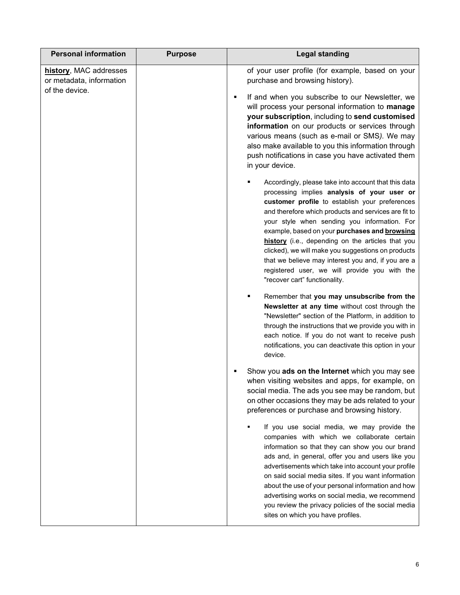| <b>Personal information</b>                                          | <b>Purpose</b> | <b>Legal standing</b>                                                                                                                                                                                                                                                                                                                                                                                                                                                                                                                                                                                                                                                                                                                                                                                                                                                                                                                                                                                                                                                                                                                                                                                                                                                        |
|----------------------------------------------------------------------|----------------|------------------------------------------------------------------------------------------------------------------------------------------------------------------------------------------------------------------------------------------------------------------------------------------------------------------------------------------------------------------------------------------------------------------------------------------------------------------------------------------------------------------------------------------------------------------------------------------------------------------------------------------------------------------------------------------------------------------------------------------------------------------------------------------------------------------------------------------------------------------------------------------------------------------------------------------------------------------------------------------------------------------------------------------------------------------------------------------------------------------------------------------------------------------------------------------------------------------------------------------------------------------------------|
| history, MAC addresses<br>or metadata, information<br>of the device. |                | of your user profile (for example, based on your<br>purchase and browsing history).<br>If and when you subscribe to our Newsletter, we<br>٠<br>will process your personal information to manage<br>your subscription, including to send customised<br>information on our products or services through<br>various means (such as e-mail or SMS). We may<br>also make available to you this information through<br>push notifications in case you have activated them<br>in your device.<br>Accordingly, please take into account that this data<br>processing implies analysis of your user or<br>customer profile to establish your preferences<br>and therefore which products and services are fit to<br>your style when sending you information. For<br>example, based on your purchases and browsing<br>history (i.e., depending on the articles that you<br>clicked), we will make you suggestions on products<br>that we believe may interest you and, if you are a<br>registered user, we will provide you with the<br>"recover cart" functionality.<br>Remember that you may unsubscribe from the<br>Newsletter at any time without cost through the<br>"Newsletter" section of the Platform, in addition to<br>through the instructions that we provide you with in |
|                                                                      |                | each notice. If you do not want to receive push<br>notifications, you can deactivate this option in your<br>device.<br>Show you ads on the Internet which you may see<br>when visiting websites and apps, for example, on<br>social media. The ads you see may be random, but                                                                                                                                                                                                                                                                                                                                                                                                                                                                                                                                                                                                                                                                                                                                                                                                                                                                                                                                                                                                |
|                                                                      |                | on other occasions they may be ads related to your<br>preferences or purchase and browsing history.<br>If you use social media, we may provide the<br>companies with which we collaborate certain<br>information so that they can show you our brand<br>ads and, in general, offer you and users like you<br>advertisements which take into account your profile<br>on said social media sites. If you want information<br>about the use of your personal information and how<br>advertising works on social media, we recommend<br>you review the privacy policies of the social media<br>sites on which you have profiles.                                                                                                                                                                                                                                                                                                                                                                                                                                                                                                                                                                                                                                                 |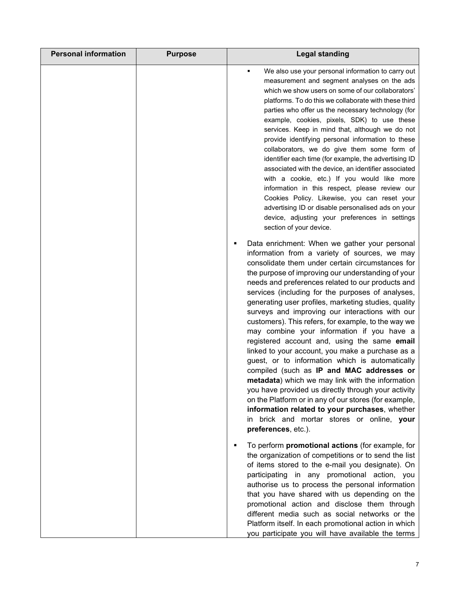| <b>Personal information</b> | <b>Purpose</b> | <b>Legal standing</b>                                                                                                                                                                                                                                                                                                                                                                                                                                                                                                                                                                                                                                                                                                                                                                                                                                                                                                                                                                                                                  |
|-----------------------------|----------------|----------------------------------------------------------------------------------------------------------------------------------------------------------------------------------------------------------------------------------------------------------------------------------------------------------------------------------------------------------------------------------------------------------------------------------------------------------------------------------------------------------------------------------------------------------------------------------------------------------------------------------------------------------------------------------------------------------------------------------------------------------------------------------------------------------------------------------------------------------------------------------------------------------------------------------------------------------------------------------------------------------------------------------------|
|                             |                | We also use your personal information to carry out<br>٠<br>measurement and segment analyses on the ads<br>which we show users on some of our collaborators'<br>platforms. To do this we collaborate with these third<br>parties who offer us the necessary technology (for<br>example, cookies, pixels, SDK) to use these<br>services. Keep in mind that, although we do not<br>provide identifying personal information to these<br>collaborators, we do give them some form of<br>identifier each time (for example, the advertising ID<br>associated with the device, an identifier associated<br>with a cookie, etc.) If you would like more<br>information in this respect, please review our<br>Cookies Policy. Likewise, you can reset your<br>advertising ID or disable personalised ads on your<br>device, adjusting your preferences in settings<br>section of your device.                                                                                                                                                  |
|                             |                | Data enrichment: When we gather your personal<br>Е<br>information from a variety of sources, we may<br>consolidate them under certain circumstances for<br>the purpose of improving our understanding of your<br>needs and preferences related to our products and<br>services (including for the purposes of analyses,<br>generating user profiles, marketing studies, quality<br>surveys and improving our interactions with our<br>customers). This refers, for example, to the way we<br>may combine your information if you have a<br>registered account and, using the same email<br>linked to your account, you make a purchase as a<br>guest, or to information which is automatically<br>compiled (such as IP and MAC addresses or<br>metadata) which we may link with the information<br>you have provided us directly through your activity<br>on the Platform or in any of our stores (for example,<br>information related to your purchases, whether<br>in brick and mortar stores or online, your<br>preferences, etc.). |
|                             |                | To perform <b>promotional actions</b> (for example, for<br>٠<br>the organization of competitions or to send the list<br>of items stored to the e-mail you designate). On<br>participating in any promotional action, you<br>authorise us to process the personal information<br>that you have shared with us depending on the<br>promotional action and disclose them through<br>different media such as social networks or the<br>Platform itself. In each promotional action in which<br>you participate you will have available the terms                                                                                                                                                                                                                                                                                                                                                                                                                                                                                           |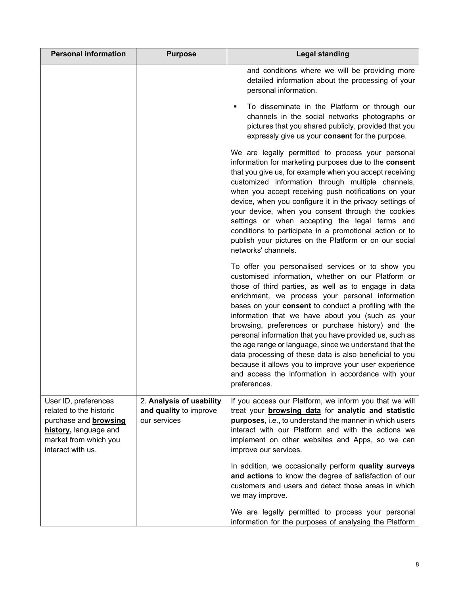| <b>Personal information</b>                                                                                                                            | <b>Purpose</b>                                                     | <b>Legal standing</b>                                                                                                                                                                                                                                                                                                                                                                                                                                                                                                                                                                                                                                                                                  |
|--------------------------------------------------------------------------------------------------------------------------------------------------------|--------------------------------------------------------------------|--------------------------------------------------------------------------------------------------------------------------------------------------------------------------------------------------------------------------------------------------------------------------------------------------------------------------------------------------------------------------------------------------------------------------------------------------------------------------------------------------------------------------------------------------------------------------------------------------------------------------------------------------------------------------------------------------------|
|                                                                                                                                                        |                                                                    | and conditions where we will be providing more<br>detailed information about the processing of your<br>personal information.                                                                                                                                                                                                                                                                                                                                                                                                                                                                                                                                                                           |
|                                                                                                                                                        |                                                                    | To disseminate in the Platform or through our<br>п<br>channels in the social networks photographs or<br>pictures that you shared publicly, provided that you<br>expressly give us your consent for the purpose.                                                                                                                                                                                                                                                                                                                                                                                                                                                                                        |
|                                                                                                                                                        |                                                                    | We are legally permitted to process your personal<br>information for marketing purposes due to the consent<br>that you give us, for example when you accept receiving<br>customized information through multiple channels,<br>when you accept receiving push notifications on your<br>device, when you configure it in the privacy settings of<br>your device, when you consent through the cookies<br>settings or when accepting the legal terms and<br>conditions to participate in a promotional action or to<br>publish your pictures on the Platform or on our social<br>networks' channels.                                                                                                      |
|                                                                                                                                                        |                                                                    | To offer you personalised services or to show you<br>customised information, whether on our Platform or<br>those of third parties, as well as to engage in data<br>enrichment, we process your personal information<br>bases on your consent to conduct a profiling with the<br>information that we have about you (such as your<br>browsing, preferences or purchase history) and the<br>personal information that you have provided us, such as<br>the age range or language, since we understand that the<br>data processing of these data is also beneficial to you<br>because it allows you to improve your user experience<br>and access the information in accordance with your<br>preferences. |
| User ID, preferences<br>related to the historic<br>purchase and <b>browsing</b><br>history, language and<br>market from which you<br>interact with us. | 2. Analysis of usability<br>and quality to improve<br>our services | If you access our Platform, we inform you that we will<br>treat your <b>browsing data</b> for analytic and statistic<br>purposes, i.e., to understand the manner in which users<br>interact with our Platform and with the actions we<br>implement on other websites and Apps, so we can<br>improve our services.                                                                                                                                                                                                                                                                                                                                                                                      |
|                                                                                                                                                        |                                                                    | In addition, we occasionally perform quality surveys<br>and actions to know the degree of satisfaction of our<br>customers and users and detect those areas in which<br>we may improve.                                                                                                                                                                                                                                                                                                                                                                                                                                                                                                                |
|                                                                                                                                                        |                                                                    | We are legally permitted to process your personal<br>information for the purposes of analysing the Platform                                                                                                                                                                                                                                                                                                                                                                                                                                                                                                                                                                                            |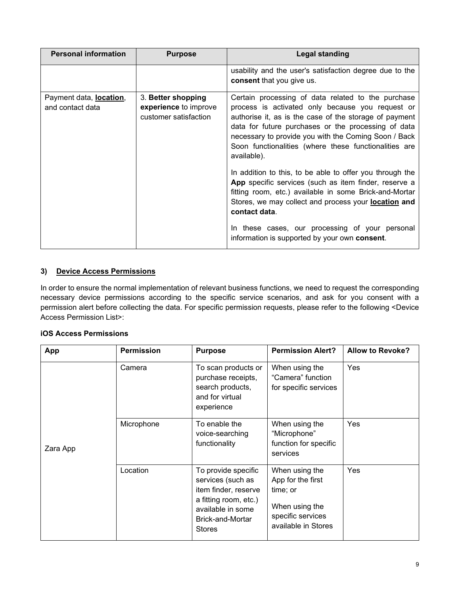| <b>Personal information</b>                 | <b>Purpose</b>                                                       | <b>Legal standing</b>                                                                                                                                                                                                                                                                                                                                           |
|---------------------------------------------|----------------------------------------------------------------------|-----------------------------------------------------------------------------------------------------------------------------------------------------------------------------------------------------------------------------------------------------------------------------------------------------------------------------------------------------------------|
|                                             |                                                                      | usability and the user's satisfaction degree due to the<br>consent that you give us.                                                                                                                                                                                                                                                                            |
| Payment data, location,<br>and contact data | 3. Better shopping<br>experience to improve<br>customer satisfaction | Certain processing of data related to the purchase<br>process is activated only because you request or<br>authorise it, as is the case of the storage of payment<br>data for future purchases or the processing of data<br>necessary to provide you with the Coming Soon / Back<br>Soon functionalities (where these functionalities are<br>available).         |
|                                             |                                                                      | In addition to this, to be able to offer you through the<br>App specific services (such as item finder, reserve a<br>fitting room, etc.) available in some Brick-and-Mortar<br>Stores, we may collect and process your <b>location and</b><br>contact data.<br>In these cases, our processing of your personal<br>information is supported by your own consent. |

#### **3) Device Access Permissions**

In order to ensure the normal implementation of relevant business functions, we need to request the corresponding necessary device permissions according to the specific service scenarios, and ask for you consent with a permission alert before collecting the data. For specific permission requests, please refer to the following <Device Access Permission List>:

#### **iOS Access Permissions**

| App      | <b>Permission</b> | <b>Purpose</b>                                                                                                                                      | <b>Permission Alert?</b>                                                                                      | <b>Allow to Revoke?</b> |
|----------|-------------------|-----------------------------------------------------------------------------------------------------------------------------------------------------|---------------------------------------------------------------------------------------------------------------|-------------------------|
|          | Camera            | To scan products or<br>purchase receipts,<br>search products,<br>and for virtual<br>experience                                                      | When using the<br>"Camera" function<br>for specific services                                                  | <b>Yes</b>              |
| Zara App | Microphone        | To enable the<br>voice-searching<br>functionality                                                                                                   | When using the<br>"Microphone"<br>function for specific<br>services                                           | Yes                     |
|          | Location          | To provide specific<br>services (such as<br>item finder, reserve<br>a fitting room, etc.)<br>available in some<br>Brick-and-Mortar<br><b>Stores</b> | When using the<br>App for the first<br>time; or<br>When using the<br>specific services<br>available in Stores | <b>Yes</b>              |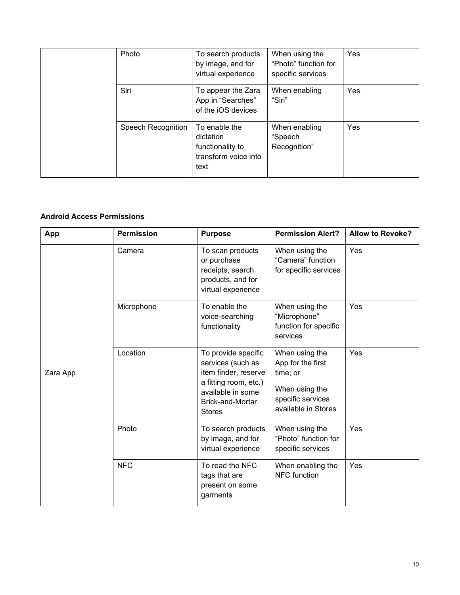| Photo              | To search products<br>by image, and for<br>virtual experience                  | When using the<br>"Photo" function for<br>specific services | Yes        |
|--------------------|--------------------------------------------------------------------------------|-------------------------------------------------------------|------------|
| Siri               | To appear the Zara<br>App in "Searches"<br>of the iOS devices                  | When enabling<br>"Siri"                                     | <b>Yes</b> |
| Speech Recognition | To enable the<br>dictation<br>functionality to<br>transform voice into<br>text | When enabling<br>"Speech<br>Recognition"                    | Yes        |

#### **Android Access Permissions**

| App      | <b>Permission</b> | <b>Purpose</b>                                                                                                                                             | <b>Permission Alert?</b>                                                                                      | <b>Allow to Revoke?</b> |
|----------|-------------------|------------------------------------------------------------------------------------------------------------------------------------------------------------|---------------------------------------------------------------------------------------------------------------|-------------------------|
|          | Camera            | To scan products<br>or purchase<br>receipts, search<br>products, and for<br>virtual experience                                                             | When using the<br>"Camera" function<br>for specific services                                                  | Yes                     |
|          | Microphone        | To enable the<br>voice-searching<br>functionality                                                                                                          | When using the<br>"Microphone"<br>function for specific<br>services                                           | Yes                     |
| Zara App | Location          | To provide specific<br>services (such as<br>item finder, reserve<br>a fitting room, etc.)<br>available in some<br><b>Brick-and-Mortar</b><br><b>Stores</b> | When using the<br>App for the first<br>time; or<br>When using the<br>specific services<br>available in Stores | Yes                     |
|          | Photo             | To search products<br>by image, and for<br>virtual experience                                                                                              | When using the<br>"Photo" function for<br>specific services                                                   | Yes                     |
|          | <b>NFC</b>        | To read the NFC<br>tags that are<br>present on some<br>garments                                                                                            | When enabling the<br><b>NFC</b> function                                                                      | Yes                     |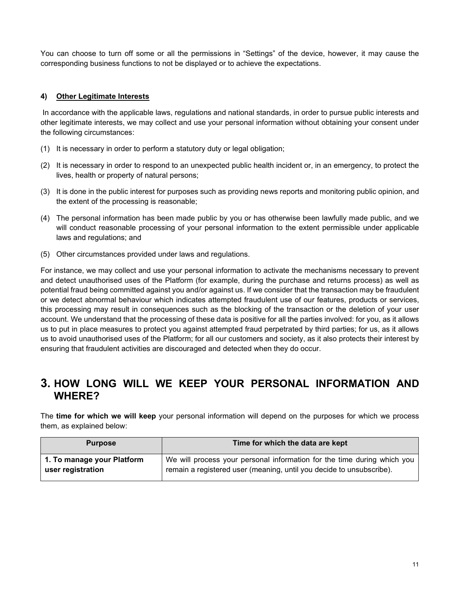You can choose to turn off some or all the permissions in "Settings" of the device, however, it may cause the corresponding business functions to not be displayed or to achieve the expectations.

#### **4) Other Legitimate Interests**

In accordance with the applicable laws, regulations and national standards, in order to pursue public interests and other legitimate interests, we may collect and use your personal information without obtaining your consent under the following circumstances:

- (1) It is necessary in order to perform a statutory duty or legal obligation;
- (2) It is necessary in order to respond to an unexpected public health incident or, in an emergency, to protect the lives, health or property of natural persons;
- (3) It is done in the public interest for purposes such as providing news reports and monitoring public opinion, and the extent of the processing is reasonable;
- (4) The personal information has been made public by you or has otherwise been lawfully made public, and we will conduct reasonable processing of your personal information to the extent permissible under applicable laws and regulations; and
- (5) Other circumstances provided under laws and regulations.

For instance, we may collect and use your personal information to activate the mechanisms necessary to prevent and detect unauthorised uses of the Platform (for example, during the purchase and returns process) as well as potential fraud being committed against you and/or against us. If we consider that the transaction may be fraudulent or we detect abnormal behaviour which indicates attempted fraudulent use of our features, products or services, this processing may result in consequences such as the blocking of the transaction or the deletion of your user account. We understand that the processing of these data is positive for all the parties involved: for you, as it allows us to put in place measures to protect you against attempted fraud perpetrated by third parties; for us, as it allows us to avoid unauthorised uses of the Platform; for all our customers and society, as it also protects their interest by ensuring that fraudulent activities are discouraged and detected when they do occur.

## **3. HOW LONG WILL WE KEEP YOUR PERSONAL INFORMATION AND WHERE?**

The **time for which we will keep** your personal information will depend on the purposes for which we process them, as explained below:

| <b>Purpose</b>             | Time for which the data are kept                                        |
|----------------------------|-------------------------------------------------------------------------|
| 1. To manage your Platform | We will process your personal information for the time during which you |
| user registration          | remain a registered user (meaning, until you decide to unsubscribe).    |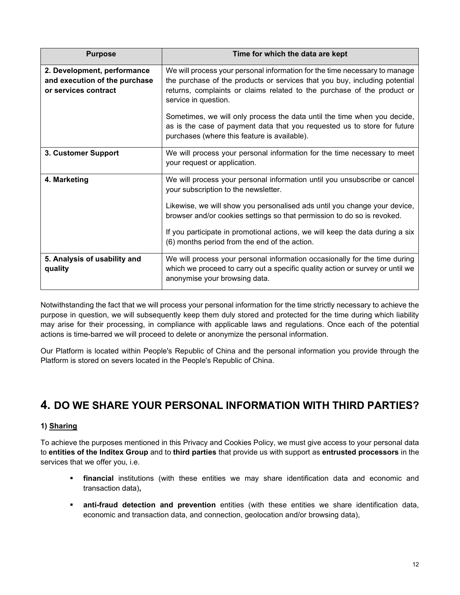| <b>Purpose</b>                                                                       | Time for which the data are kept                                                                                                                                                                                                                                                                                                        |
|--------------------------------------------------------------------------------------|-----------------------------------------------------------------------------------------------------------------------------------------------------------------------------------------------------------------------------------------------------------------------------------------------------------------------------------------|
| 2. Development, performance<br>and execution of the purchase<br>or services contract | We will process your personal information for the time necessary to manage<br>the purchase of the products or services that you buy, including potential<br>returns, complaints or claims related to the purchase of the product or<br>service in question.<br>Sometimes, we will only process the data until the time when you decide, |
|                                                                                      | as is the case of payment data that you requested us to store for future<br>purchases (where this feature is available).                                                                                                                                                                                                                |
| 3. Customer Support                                                                  | We will process your personal information for the time necessary to meet<br>your request or application.                                                                                                                                                                                                                                |
| 4. Marketing                                                                         | We will process your personal information until you unsubscribe or cancel<br>your subscription to the newsletter.                                                                                                                                                                                                                       |
|                                                                                      | Likewise, we will show you personalised ads until you change your device,<br>browser and/or cookies settings so that permission to do so is revoked.                                                                                                                                                                                    |
|                                                                                      | If you participate in promotional actions, we will keep the data during a six<br>(6) months period from the end of the action.                                                                                                                                                                                                          |
| 5. Analysis of usability and<br>quality                                              | We will process your personal information occasionally for the time during<br>which we proceed to carry out a specific quality action or survey or until we<br>anonymise your browsing data.                                                                                                                                            |

Notwithstanding the fact that we will process your personal information for the time strictly necessary to achieve the purpose in question, we will subsequently keep them duly stored and protected for the time during which liability may arise for their processing, in compliance with applicable laws and regulations. Once each of the potential actions is time-barred we will proceed to delete or anonymize the personal information.

Our Platform is located within People's Republic of China and the personal information you provide through the Platform is stored on severs located in the People's Republic of China.

## <span id="page-11-0"></span>**4. DO WE SHARE YOUR PERSONAL INFORMATION WITH THIRD PARTIES?**

#### **1) Sharing**

To achieve the purposes mentioned in this Privacy and Cookies Policy, we must give access to your personal data to **entities of the Inditex Group** and to **third parties** that provide us with support as **entrusted processors** in the services that we offer you, i.e.

- **financial** institutions (with these entities we may share identification data and economic and transaction data)**,**
- **anti-fraud detection and prevention** entities (with these entities we share identification data, economic and transaction data, and connection, geolocation and/or browsing data),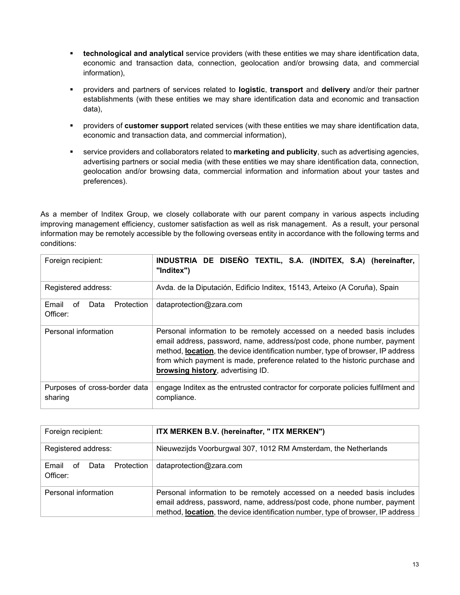- **technological and analytical** service providers (with these entities we may share identification data, economic and transaction data, connection, geolocation and/or browsing data, and commercial information),
- providers and partners of services related to **logistic**, **transport** and **delivery** and/or their partner establishments (with these entities we may share identification data and economic and transaction data),
- providers of **customer support** related services (with these entities we may share identification data, economic and transaction data, and commercial information),
- service providers and collaborators related to **marketing and publicity**, such as advertising agencies, advertising partners or social media (with these entities we may share identification data, connection, geolocation and/or browsing data, commercial information and information about your tastes and preferences).

As a member of Inditex Group, we closely collaborate with our parent company in various aspects including improving management efficiency, customer satisfaction as well as risk management. As a result, your personal information may be remotely accessible by the following overseas entity in accordance with the following terms and conditions:

| Foreign recipient:                                                                                                                                                                                                                                                                                                                                                                        | INDUSTRIA DE DISEÑO TEXTIL, S.A. (INDITEX, S.A) (hereinafter,<br>"Inditex")                     |  |  |
|-------------------------------------------------------------------------------------------------------------------------------------------------------------------------------------------------------------------------------------------------------------------------------------------------------------------------------------------------------------------------------------------|-------------------------------------------------------------------------------------------------|--|--|
| Registered address:                                                                                                                                                                                                                                                                                                                                                                       | Avda. de la Diputación, Edificio Inditex, 15143, Arteixo (A Coruña), Spain                      |  |  |
| Email<br>Protection<br>οf<br>Data<br>Officer:                                                                                                                                                                                                                                                                                                                                             | dataprotection@zara.com                                                                         |  |  |
| Personal information<br>Personal information to be remotely accessed on a needed basis includes<br>email address, password, name, address/post code, phone number, payment<br>method, <b>location</b> , the device identification number, type of browser, IP address<br>from which payment is made, preference related to the historic purchase and<br>browsing history, advertising ID. |                                                                                                 |  |  |
| Purposes of cross-border data<br>sharing                                                                                                                                                                                                                                                                                                                                                  | engage Inditex as the entrusted contractor for corporate policies fulfilment and<br>compliance. |  |  |

| Foreign recipient:                            | ITX MERKEN B.V. (hereinafter, "ITX MERKEN")                                                                                                                                                                                           |  |  |
|-----------------------------------------------|---------------------------------------------------------------------------------------------------------------------------------------------------------------------------------------------------------------------------------------|--|--|
| Registered address:                           | Nieuwezijds Voorburgwal 307, 1012 RM Amsterdam, the Netherlands                                                                                                                                                                       |  |  |
| Email<br>Protection<br>Data<br>0f<br>Officer: | dataprotection@zara.com                                                                                                                                                                                                               |  |  |
| Personal information                          | Personal information to be remotely accessed on a needed basis includes<br>email address, password, name, address/post code, phone number, payment<br>method, location, the device identification number, type of browser, IP address |  |  |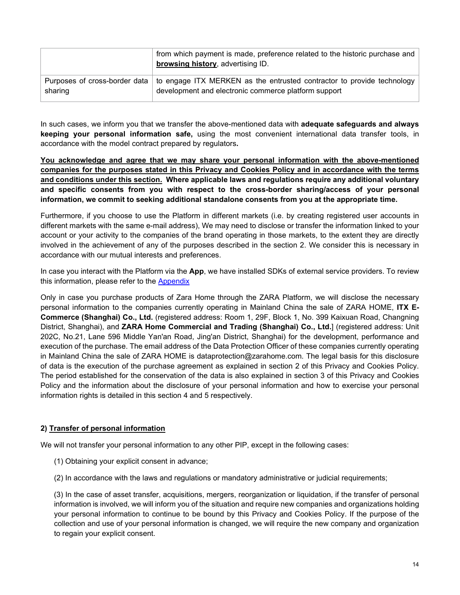|         | from which payment is made, preference related to the historic purchase and<br><b>browsing history</b> , advertising ID.                                       |
|---------|----------------------------------------------------------------------------------------------------------------------------------------------------------------|
| sharing | Purposes of cross-border data   to engage ITX MERKEN as the entrusted contractor to provide technology<br>development and electronic commerce platform support |

In such cases, we inform you that we transfer the above-mentioned data with **adequate safeguards and always keeping your personal information safe,** using the most convenient international data transfer tools, in accordance with the model contract prepared by regulators**.** 

**You acknowledge and agree that we may share your personal information with the above-mentioned companies for the purposes stated in this Privacy and Cookies Policy and in accordance with the terms and conditions under this section. Where applicable laws and regulations require any additional voluntary and specific consents from you with respect to the cross-border sharing/access of your personal information, we commit to seeking additional standalone consents from you at the appropriate time.**

Furthermore, if you choose to use the Platform in different markets (i.e. by creating registered user accounts in different markets with the same e-mail address), We may need to disclose or transfer the information linked to your account or your activity to the companies of the brand operating in those markets, to the extent they are directly involved in the achievement of any of the purposes described in the section 2. We consider this is necessary in accordance with our mutual interests and preferences.

In case you interact with the Platform via the **App**, we have installed SDKs of external service providers. To review this information, please refer to the [Appendix](#page-21-0) 

Only in case you purchase products of Zara Home through the ZARA Platform, we will disclose the necessary personal information to the companies currently operating in Mainland China the sale of ZARA HOME, **ITX E-Commerce (Shanghai) Co., Ltd.** (registered address: Room 1, 29F, Block 1, No. 399 Kaixuan Road, Changning District, Shanghai), and **ZARA Home Commercial and Trading (Shanghai) Co., Ltd.**] (registered address: Unit 202C, No.21, Lane 596 Middle Yan'an Road, Jing'an District, Shanghai) for the development, performance and execution of the purchase. The email address of the Data Protection Officer of these companies currently operating in Mainland China the sale of ZARA HOME is [dataprotection@zarahome.com.](mailto:dataprotection@zarahome.com) The legal basis for this disclosure of data is the execution of the purchase agreement as explained in section 2 of this Privacy and Cookies Policy. The period established for the conservation of the data is also explained in section 3 of this Privacy and Cookies Policy and the information about the disclosure of your personal information and how to exercise your personal information rights is detailed in this section 4 and 5 respectively.

#### **2) Transfer of personal information**

We will not transfer your personal information to any other PIP, except in the following cases:

- (1) Obtaining your explicit consent in advance;
- (2) In accordance with the laws and regulations or mandatory administrative or judicial requirements;

(3) In the case of asset transfer, acquisitions, mergers, reorganization or liquidation, if the transfer of personal information is involved, we will inform you of the situation and require new companies and organizations holding your personal information to continue to be bound by this Privacy and Cookies Policy. If the purpose of the collection and use of your personal information is changed, we will require the new company and organization to regain your explicit consent.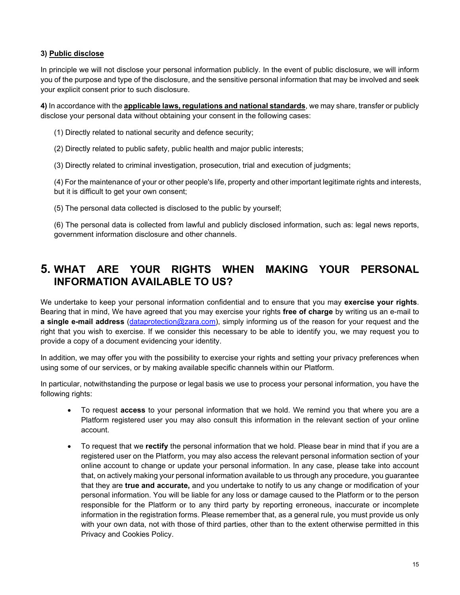#### **3) Public disclose**

In principle we will not disclose your personal information publicly. In the event of public disclosure, we will inform you of the purpose and type of the disclosure, and the sensitive personal information that may be involved and seek your explicit consent prior to such disclosure.

**4)** In accordance with the **applicable laws, regulations and national standards**, we may share, transfer or publicly disclose your personal data without obtaining your consent in the following cases:

(1) Directly related to national security and defence security;

(2) Directly related to public safety, public health and major public interests;

(3) Directly related to criminal investigation, prosecution, trial and execution of judgments;

(4) For the maintenance of your or other people's life, property and other important legitimate rights and interests, but it is difficult to get your own consent;

(5) The personal data collected is disclosed to the public by yourself;

(6) The personal data is collected from lawful and publicly disclosed information, such as: legal news reports, government information disclosure and other channels.

## <span id="page-14-0"></span>**5. WHAT ARE YOUR RIGHTS WHEN MAKING YOUR PERSONAL INFORMATION AVAILABLE TO US?**

We undertake to keep your personal information confidential and to ensure that you may **exercise your rights**. Bearing that in mind, We have agreed that you may exercise your rights **free of charge** by writing us an e-mail to **a single e-mail address** [\(dataprotection@zara.com\)](mailto:dataprotection@zara.com), simply informing us of the reason for your request and the right that you wish to exercise. If we consider this necessary to be able to identify you, we may request you to provide a copy of a document evidencing your identity.

In addition, we may offer you with the possibility to exercise your rights and setting your privacy preferences when using some of our services, or by making available specific channels within our Platform.

In particular, notwithstanding the purpose or legal basis we use to process your personal information, you have the following rights:

- To request **access** to your personal information that we hold. We remind you that where you are a Platform registered user you may also consult this information in the relevant section of your online account.
- To request that we **rectify** the personal information that we hold. Please bear in mind that if you are a registered user on the Platform, you may also access the relevant personal information section of your online account to change or update your personal information. In any case, please take into account that, on actively making your personal information available to us through any procedure, you guarantee that they are **true and accurate,** and you undertake to notify to us any change or modification of your personal information. You will be liable for any loss or damage caused to the Platform or to the person responsible for the Platform or to any third party by reporting erroneous, inaccurate or incomplete information in the registration forms. Please remember that, as a general rule, you must provide us only with your own data, not with those of third parties, other than to the extent otherwise permitted in this Privacy and Cookies Policy.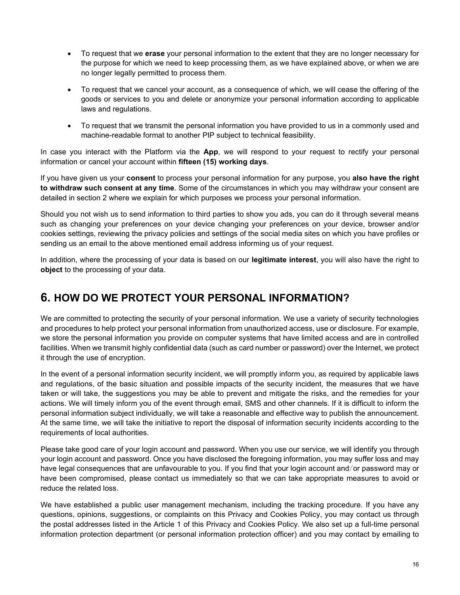- To request that we **erase** your personal information to the extent that they are no longer necessary for the purpose for which we need to keep processing them, as we have explained above, or when we are no longer legally permitted to process them.
- To request that we cancel your account, as a consequence of which, we will cease the offering of the goods or services to you and delete or anonymize your personal information according to applicable laws and regulations.
- To request that we transmit the personal information you have provided to us in a commonly used and machine-readable format to another PIP subject to technical feasibility.

In case you interact with the Platform via the **App**, we will respond to your request to rectify your personal information or cancel your account within **fifteen (15) working days**.

If you have given us your **consent** to process your personal information for any purpose, you **also have the right to withdraw such consent at any time**. Some of the circumstances in which you may withdraw your consent are detailed in section 2 where we explain for which purposes we process your personal information.

Should you not wish us to send information to third parties to show you ads, you can do it through several means such as changing your preferences on your device changing your preferences on your device, browser and/or cookies settings, reviewing the privacy policies and settings of the social media sites on which you have profiles or sending us an email to the above mentioned email address informing us of your request.

In addition, where the processing of your data is based on our **legitimate interest**, you will also have the right to **object** to the processing of your data.

## **6. HOW DO WE PROTECT YOUR PERSONAL INFORMATION?**

We are committed to protecting the security of your personal information. We use a variety of security technologies and procedures to help protect your personal information from unauthorized access, use or disclosure. For example, we store the personal information you provide on computer systems that have limited access and are in controlled facilities. When we transmit highly confidential data (such as card number or password) over the Internet, we protect it through the use of encryption.

In the event of a personal information security incident, we will promptly inform you, as required by applicable laws and regulations, of the basic situation and possible impacts of the security incident, the measures that we have taken or will take, the suggestions you may be able to prevent and mitigate the risks, and the remedies for your actions. We will timely inform you of the event through email, SMS and other channels. If it is difficult to inform the personal information subject individually, we will take a reasonable and effective way to publish the announcement. At the same time, we will take the initiative to report the disposal of information security incidents according to the requirements of local authorities.

Please take good care of your login account and password. When you use our service, we will identify you through your login account and password. Once you have disclosed the foregoing information, you may suffer loss and may have legal consequences that are unfavourable to you. If you find that your login account and/or password may or have been compromised, please contact us immediately so that we can take appropriate measures to avoid or reduce the related loss.

We have established a public user management mechanism, including the tracking procedure. If you have any questions, opinions, suggestions, or complaints on this Privacy and Cookies Policy, you may contact us through the postal addresses listed in the Article 1 of this Privacy and Cookies Policy. We also set up a full-time personal information protection department (or personal information protection officer) and you may contact by emailing to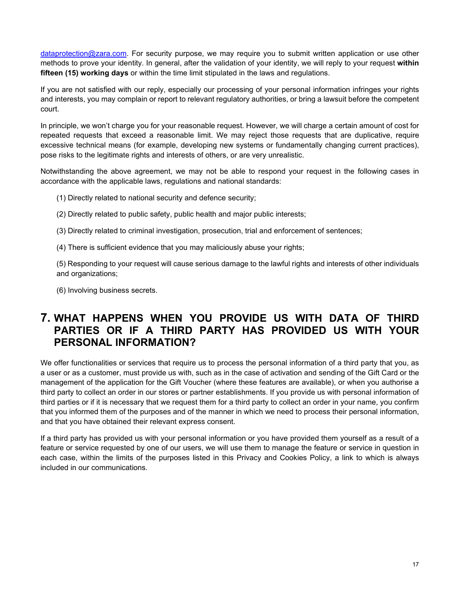[dataprotection@zara.com.](mailto:dataprotection@zara.com) For security purpose, we may require you to submit written application or use other methods to prove your identity. In general, after the validation of your identity, we will reply to your request **within fifteen (15) working days** or within the time limit stipulated in the laws and regulations.

If you are not satisfied with our reply, especially our processing of your personal information infringes your rights and interests, you may complain or report to relevant regulatory authorities, or bring a lawsuit before the competent court.

In principle, we won't charge you for your reasonable request. However, we will charge a certain amount of cost for repeated requests that exceed a reasonable limit. We may reject those requests that are duplicative, require excessive technical means (for example, developing new systems or fundamentally changing current practices), pose risks to the legitimate rights and interests of others, or are very unrealistic.

Notwithstanding the above agreement, we may not be able to respond your request in the following cases in accordance with the applicable laws, regulations and national standards:

(1) Directly related to national security and defence security;

- (2) Directly related to public safety, public health and major public interests;
- (3) Directly related to criminal investigation, prosecution, trial and enforcement of sentences;

(4) There is sufficient evidence that you may maliciously abuse your rights;

(5) Responding to your request will cause serious damage to the lawful rights and interests of other individuals and organizations;

(6) Involving business secrets.

## **7. WHAT HAPPENS WHEN YOU PROVIDE US WITH DATA OF THIRD PARTIES OR IF A THIRD PARTY HAS PROVIDED US WITH YOUR PERSONAL INFORMATION?**

We offer functionalities or services that require us to process the personal information of a third party that you, as a user or as a customer, must provide us with, such as in the case of activation and sending of the Gift Card or the management of the application for the Gift Voucher (where these features are available), or when you authorise a third party to collect an order in our stores or partner establishments. If you provide us with personal information of third parties or if it is necessary that we request them for a third party to collect an order in your name, you confirm that you informed them of the purposes and of the manner in which we need to process their personal information, and that you have obtained their relevant express consent.

If a third party has provided us with your personal information or you have provided them yourself as a result of a feature or service requested by one of our users, we will use them to manage the feature or service in question in each case, within the limits of the purposes listed in this Privacy and Cookies Policy, a link to which is always included in our communications.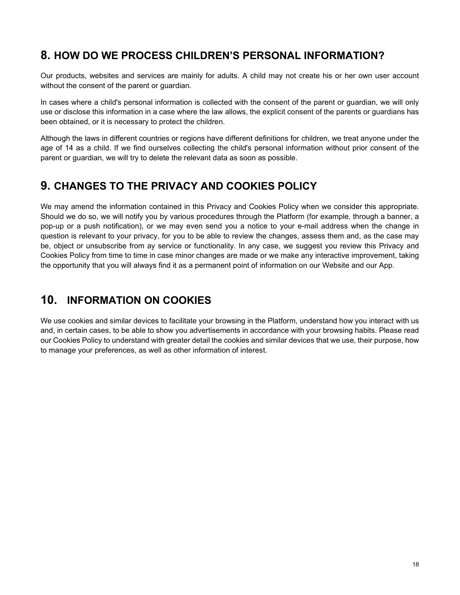## **8. HOW DO WE PROCESS CHILDREN'S PERSONAL INFORMATION?**

Our products, websites and services are mainly for adults. A child may not create his or her own user account without the consent of the parent or guardian.

In cases where a child's personal information is collected with the consent of the parent or guardian, we will only use or disclose this information in a case where the law allows, the explicit consent of the parents or guardians has been obtained, or it is necessary to protect the children.

Although the laws in different countries or regions have different definitions for children, we treat anyone under the age of 14 as a child. If we find ourselves collecting the child's personal information without prior consent of the parent or guardian, we will try to delete the relevant data as soon as possible.

## **9. CHANGES TO THE PRIVACY AND COOKIES POLICY**

We may amend the information contained in this Privacy and Cookies Policy when we consider this appropriate. Should we do so, we will notify you by various procedures through the Platform (for example, through a banner, a pop-up or a push notification), or we may even send you a notice to your e-mail address when the change in question is relevant to your privacy, for you to be able to review the changes, assess them and, as the case may be, object or unsubscribe from ay service or functionality. In any case, we suggest you review this Privacy and Cookies Policy from time to time in case minor changes are made or we make any interactive improvement, taking the opportunity that you will always find it as a permanent point of information on our Website and our App.

## **10. INFORMATION ON COOKIES**

We use cookies and similar devices to facilitate your browsing in the Platform, understand how you interact with us and, in certain cases, to be able to show you advertisements in accordance with your browsing habits. Please read our Cookies Policy to understand with greater detail the cookies and similar devices that we use, their purpose, how to manage your preferences, as well as other information of interest.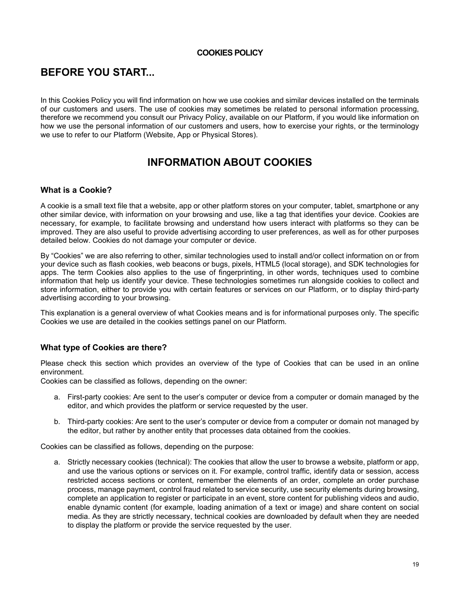#### **COOKIES POLICY**

## **BEFORE YOU START...**

In this Cookies Policy you will find information on how we use cookies and similar devices installed on the terminals of our customers and users. The use of cookies may sometimes be related to personal information processing, therefore we recommend you consult our Privacy Policy, available on our Platform, if you would like information on how we use the personal information of our customers and users, how to exercise your rights, or the terminology we use to refer to our Platform (Website, App or Physical Stores).

## **INFORMATION ABOUT COOKIES**

#### **What is a Cookie?**

A cookie is a small text file that a website, app or other platform stores on your computer, tablet, smartphone or any other similar device, with information on your browsing and use, like a tag that identifies your device. Cookies are necessary, for example, to facilitate browsing and understand how users interact with platforms so they can be improved. They are also useful to provide advertising according to user preferences, as well as for other purposes detailed below. Cookies do not damage your computer or device.

By "Cookies" we are also referring to other, similar technologies used to install and/or collect information on or from your device such as flash cookies, web beacons or bugs, pixels, HTML5 (local storage), and SDK technologies for apps. The term Cookies also applies to the use of fingerprinting, in other words, techniques used to combine information that help us identify your device. These technologies sometimes run alongside cookies to collect and store information, either to provide you with certain features or services on our Platform, or to display third-party advertising according to your browsing.

This explanation is a general overview of what Cookies means and is for informational purposes only. The specific Cookies we use are detailed in the cookies settings panel on our Platform.

#### **What type of Cookies are there?**

Please check this section which provides an overview of the type of Cookies that can be used in an online environment.

Cookies can be classified as follows, depending on the owner:

- a. First-party cookies: Are sent to the user's computer or device from a computer or domain managed by the editor, and which provides the platform or service requested by the user.
- b. Third-party cookies: Are sent to the user's computer or device from a computer or domain not managed by the editor, but rather by another entity that processes data obtained from the cookies.

Cookies can be classified as follows, depending on the purpose:

a. Strictly necessary cookies (technical): The cookies that allow the user to browse a website, platform or app, and use the various options or services on it. For example, control traffic, identify data or session, access restricted access sections or content, remember the elements of an order, complete an order purchase process, manage payment, control fraud related to service security, use security elements during browsing, complete an application to register or participate in an event, store content for publishing videos and audio, enable dynamic content (for example, loading animation of a text or image) and share content on social media. As they are strictly necessary, technical cookies are downloaded by default when they are needed to display the platform or provide the service requested by the user.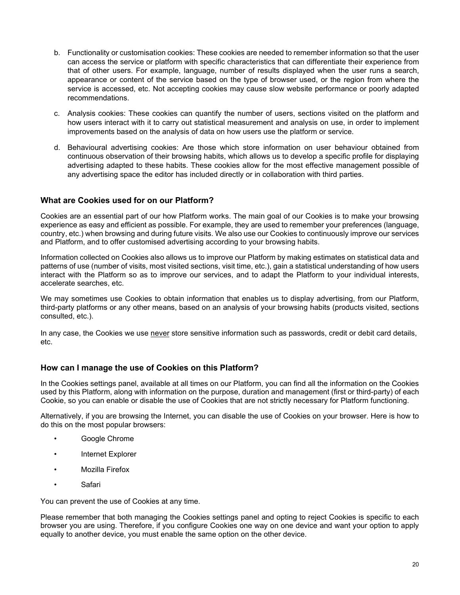- b. Functionality or customisation cookies: These cookies are needed to remember information so that the user can access the service or platform with specific characteristics that can differentiate their experience from that of other users. For example, language, number of results displayed when the user runs a search, appearance or content of the service based on the type of browser used, or the region from where the service is accessed, etc. Not accepting cookies may cause slow website performance or poorly adapted recommendations.
- c. Analysis cookies: These cookies can quantify the number of users, sections visited on the platform and how users interact with it to carry out statistical measurement and analysis on use, in order to implement improvements based on the analysis of data on how users use the platform or service.
- d. Behavioural advertising cookies: Are those which store information on user behaviour obtained from continuous observation of their browsing habits, which allows us to develop a specific profile for displaying advertising adapted to these habits. These cookies allow for the most effective management possible of any advertising space the editor has included directly or in collaboration with third parties.

#### **What are Cookies used for on our Platform?**

Cookies are an essential part of our how Platform works. The main goal of our Cookies is to make your browsing experience as easy and efficient as possible. For example, they are used to remember your preferences (language, country, etc.) when browsing and during future visits. We also use our Cookies to continuously improve our services and Platform, and to offer customised advertising according to your browsing habits.

Information collected on Cookies also allows us to improve our Platform by making estimates on statistical data and patterns of use (number of visits, most visited sections, visit time, etc.), gain a statistical understanding of how users interact with the Platform so as to improve our services, and to adapt the Platform to your individual interests, accelerate searches, etc.

We may sometimes use Cookies to obtain information that enables us to display advertising, from our Platform, third-party platforms or any other means, based on an analysis of your browsing habits (products visited, sections consulted, etc.).

In any case, the Cookies we use never store sensitive information such as passwords, credit or debit card details, etc.

#### **How can I manage the use of Cookies on this Platform?**

In the Cookies settings panel, available at all times on our Platform, you can find all the information on the Cookies used by this Platform, along with information on the purpose, duration and management (first or third-party) of each Cookie, so you can enable or disable the use of Cookies that are not strictly necessary for Platform functioning.

Alternatively, if you are browsing the Internet, you can disable the use of Cookies on your browser. Here is how to do this on the most popular browsers:

- [Google Chrome](http://support.google.com/chrome/bin/answer.py?hl=es&answer=95647)
- [Internet Explorer](https://support.microsoft.com/es-es/help/17442/windows-internet-explorer-delete-manage-cookies)
- [Mozilla Firefox](https://support.mozilla.org/es/kb/habilitar-y-deshabilitar-cookies-sitios-web-rastrear-preferencias)
- [Safari](https://support.apple.com/es-es/HT201265)

You can prevent the use of Cookies at any time.

Please remember that both managing the Cookies settings panel and opting to reject Cookies is specific to each browser you are using. Therefore, if you configure Cookies one way on one device and want your option to apply equally to another device, you must enable the same option on the other device.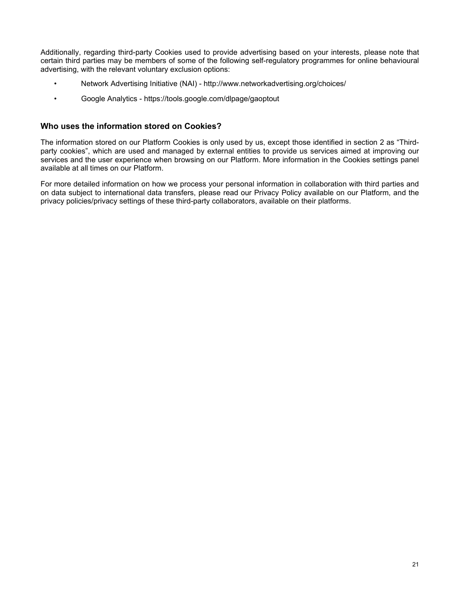Additionally, regarding third-party Cookies used to provide advertising based on your interests, please note that certain third parties may be members of some of the following self-regulatory programmes for online behavioural advertising, with the relevant voluntary exclusion options:

- Network Advertising Initiative (NAI) <http://www.networkadvertising.org/choices/>
- Google Analytics <https://tools.google.com/dlpage/gaoptout>

#### **Who uses the information stored on Cookies?**

The information stored on our Platform Cookies is only used by us, except those identified in section 2 as "Thirdparty cookies", which are used and managed by external entities to provide us services aimed at improving our services and the user experience when browsing on our Platform. More information in the Cookies settings panel available at all times on our Platform.

For more detailed information on how we process your personal information in collaboration with third parties and on data subject to international data transfers, please read our Privacy Policy available on our Platform, and the privacy policies/privacy settings of these third-party collaborators, available on their platforms.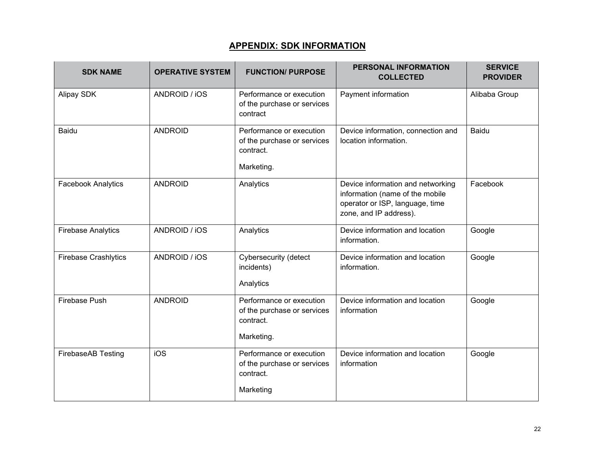#### **APPENDIX: SDK INFORMATION**

<span id="page-21-0"></span>

| <b>SDK NAME</b>             | <b>OPERATIVE SYSTEM</b> | <b>FUNCTION/ PURPOSE</b>                                                           | PERSONAL INFORMATION<br><b>COLLECTED</b>                                                                                          | <b>SERVICE</b><br><b>PROVIDER</b> |
|-----------------------------|-------------------------|------------------------------------------------------------------------------------|-----------------------------------------------------------------------------------------------------------------------------------|-----------------------------------|
| Alipay SDK                  | ANDROID / iOS           | Performance or execution<br>of the purchase or services<br>contract                | Payment information                                                                                                               | Alibaba Group                     |
| <b>Baidu</b>                | <b>ANDROID</b>          | Performance or execution<br>of the purchase or services<br>contract.<br>Marketing. | Device information, connection and<br>location information.                                                                       | Baidu                             |
| <b>Facebook Analytics</b>   | <b>ANDROID</b>          | Analytics                                                                          | Device information and networking<br>information (name of the mobile<br>operator or ISP, language, time<br>zone, and IP address). | Facebook                          |
| <b>Firebase Analytics</b>   | ANDROID / iOS           | Analytics                                                                          | Device information and location<br>information.                                                                                   | Google                            |
| <b>Firebase Crashlytics</b> | ANDROID / iOS           | Cybersecurity (detect<br>incidents)<br>Analytics                                   | Device information and location<br>information.                                                                                   | Google                            |
| Firebase Push               | <b>ANDROID</b>          | Performance or execution<br>of the purchase or services<br>contract.<br>Marketing. | Device information and location<br>information                                                                                    | Google                            |
| FirebaseAB Testing          | iOS                     | Performance or execution<br>of the purchase or services<br>contract.<br>Marketing  | Device information and location<br>information                                                                                    | Google                            |